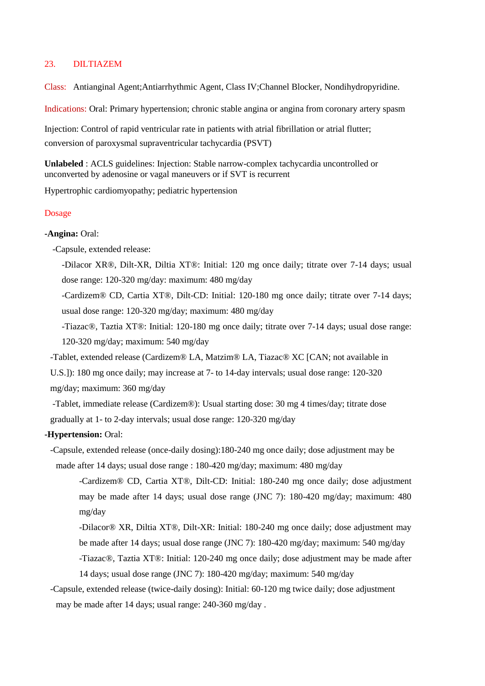# 23. DILTIAZEM

Class: Antianginal Agent;Antiarrhythmic Agent, Class IV;Channel Blocker, Nondihydropyridine.

Indications: Oral: Primary hypertension; chronic stable angina or angina from coronary artery spasm

Injection: Control of rapid ventricular rate in patients with atrial fibrillation or atrial flutter; conversion of paroxysmal supraventricular tachycardia (PSVT)

**Unlabeled** : ACLS guidelines: Injection: Stable narrow-complex tachycardia uncontrolled or unconverted by adenosine or vagal maneuvers or if SVT is recurrent

Hypertrophic cardiomyopathy; pediatric hypertension

#### Dosage

#### **-Angina:** Oral:

-Capsule, extended release:

-Dilacor XR®, Dilt-XR, Diltia XT®: Initial: 120 mg once daily; titrate over 7-14 days; usual dose range: 120-320 mg/day: maximum: 480 mg/day

-Cardizem® CD, Cartia XT®, Dilt-CD: Initial: 120-180 mg once daily; titrate over 7-14 days; usual dose range: 120-320 mg/day; maximum: 480 mg/day

-Tiazac®, Taztia XT®: Initial: 120-180 mg once daily; titrate over 7-14 days; usual dose range: 120-320 mg/day; maximum: 540 mg/day

-Tablet, extended release (Cardizem® LA, Matzim® LA, Tiazac® XC [CAN; not available in

U.S.]): 180 mg once daily; may increase at 7- to 14-day intervals; usual dose range: 120-320 mg/day; maximum: 360 mg/day

-Tablet, immediate release (Cardizem®): Usual starting dose: 30 mg 4 times/day; titrate dose gradually at 1- to 2-day intervals; usual dose range: 120-320 mg/day

#### **-Hypertension:** Oral:

-Capsule, extended release (once-daily dosing):180-240 mg once daily; dose adjustment may be made after 14 days; usual dose range : 180-420 mg/day; maximum: 480 mg/day

-Cardizem® CD, Cartia XT®, Dilt-CD: Initial: 180-240 mg once daily; dose adjustment may be made after 14 days; usual dose range (JNC 7): 180-420 mg/day; maximum: 480 mg/day

-Dilacor® XR, Diltia XT®, Dilt-XR: Initial: 180-240 mg once daily; dose adjustment may be made after 14 days; usual dose range (JNC 7): 180-420 mg/day; maximum: 540 mg/day -Tiazac®, Taztia XT®: Initial: 120-240 mg once daily; dose adjustment may be made after 14 days; usual dose range (JNC 7): 180-420 mg/day; maximum: 540 mg/day

-Capsule, extended release (twice-daily dosing): Initial: 60-120 mg twice daily; dose adjustment may be made after 14 days; usual range: 240-360 mg/day .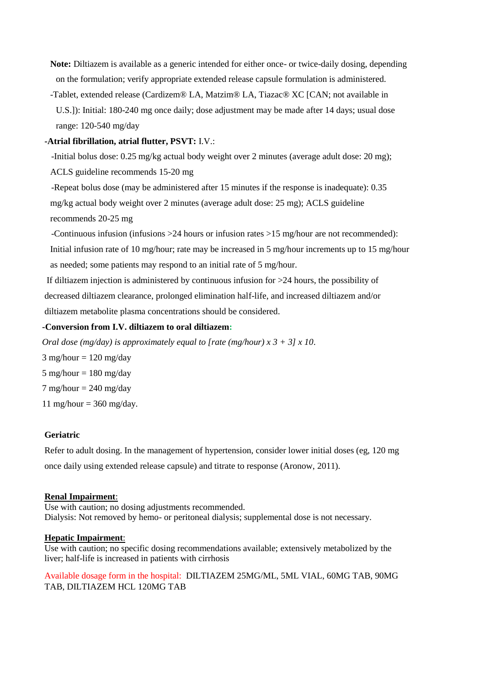- **Note:** Diltiazem is available as a generic intended for either once- or twice-daily dosing, depending on the formulation; verify appropriate extended release capsule formulation is administered.
- -Tablet, extended release (Cardizem® LA, Matzim® LA, Tiazac® XC [CAN; not available in U.S.]): Initial: 180-240 mg once daily; dose adjustment may be made after 14 days; usual dose range: 120-540 mg/day

## **-Atrial fibrillation, atrial flutter, PSVT:** I.V.:

 -Initial bolus dose: 0.25 mg/kg actual body weight over 2 minutes (average adult dose: 20 mg); ACLS guideline recommends 15-20 mg

 -Repeat bolus dose (may be administered after 15 minutes if the response is inadequate): 0.35 mg/kg actual body weight over 2 minutes (average adult dose: 25 mg); ACLS guideline recommends 20-25 mg

 -Continuous infusion (infusions >24 hours or infusion rates >15 mg/hour are not recommended): Initial infusion rate of 10 mg/hour; rate may be increased in 5 mg/hour increments up to 15 mg/hour as needed; some patients may respond to an initial rate of 5 mg/hour.

If diltiazem injection is administered by continuous infusion for >24 hours, the possibility of decreased diltiazem clearance, prolonged elimination half-life, and increased diltiazem and/or diltiazem metabolite plasma concentrations should be considered.

# **-Conversion from I.V. diltiazem to oral diltiazem:**

*Oral dose (mg/day) is approximately equal to [rate (mg/hour) x 3 + 3] x 10*.  $3$  mg/hour = 120 mg/day  $5 \text{ mg/hour} = 180 \text{ mg/day}$  $7 \text{ mg/hour} = 240 \text{ mg/day}$ 11 mg/hour =  $360$  mg/day.

## **Geriatric**

Refer to adult dosing. In the management of hypertension, consider lower initial doses (eg, 120 mg once daily using extended release capsule) and titrate to response (Aronow, 2011).

## **Renal Impairment**:

Use with caution; no dosing adjustments recommended. Dialysis: Not removed by hemo- or peritoneal dialysis; supplemental dose is not necessary.

## **Hepatic Impairment**:

Use with caution; no specific dosing recommendations available; extensively metabolized by the liver; half-life is increased in patients with cirrhosis

Available dosage form in the hospital: DILTIAZEM 25MG/ML, 5ML VIAL, 60MG TAB, 90MG TAB, DILTIAZEM HCL 120MG TAB